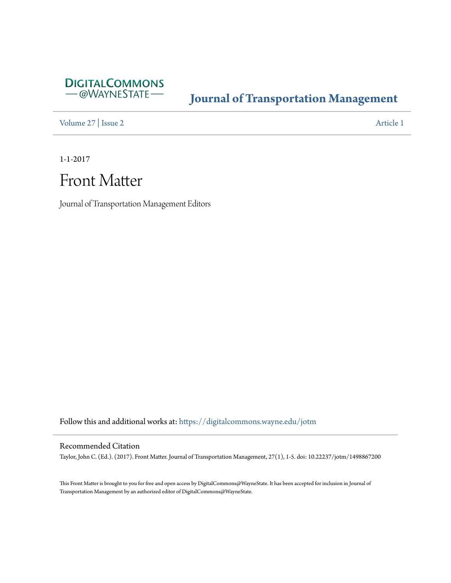

#### **[Journal of Transportation Management](https://digitalcommons.wayne.edu/jotm?utm_source=digitalcommons.wayne.edu%2Fjotm%2Fvol27%2Fiss2%2F1&utm_medium=PDF&utm_campaign=PDFCoverPages)**

[Volume 27](https://digitalcommons.wayne.edu/jotm/vol27?utm_source=digitalcommons.wayne.edu%2Fjotm%2Fvol27%2Fiss2%2F1&utm_medium=PDF&utm_campaign=PDFCoverPages) | [Issue 2](https://digitalcommons.wayne.edu/jotm/vol27/iss2?utm_source=digitalcommons.wayne.edu%2Fjotm%2Fvol27%2Fiss2%2F1&utm_medium=PDF&utm_campaign=PDFCoverPages) [Article 1](https://digitalcommons.wayne.edu/jotm/vol27/iss2/1?utm_source=digitalcommons.wayne.edu%2Fjotm%2Fvol27%2Fiss2%2F1&utm_medium=PDF&utm_campaign=PDFCoverPages)

1-1-2017

## Front Matter

Journal of Transportation Management Editors

Follow this and additional works at: [https://digitalcommons.wayne.edu/jotm](https://digitalcommons.wayne.edu/jotm?utm_source=digitalcommons.wayne.edu%2Fjotm%2Fvol27%2Fiss2%2F1&utm_medium=PDF&utm_campaign=PDFCoverPages)

#### Recommended Citation

Taylor, John C. (Ed.). (2017). Front Matter. Journal of Transportation Management, 27(1), 1-5. doi: 10.22237/jotm/1498867200

This Front Matter is brought to you for free and open access by DigitalCommons@WayneState. It has been accepted for inclusion in Journal of Transportation Management by an authorized editor of DigitalCommons@WayneState.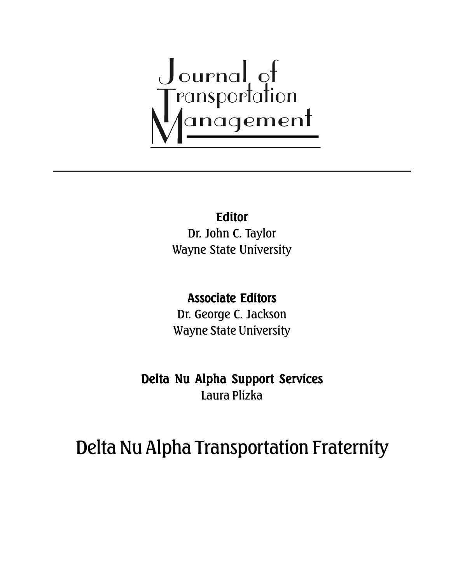# Journal of<br>Transportation<br>Management

## Editor

Dr. John C. Taylor Wayne State University

### Associate Editors

Dr. George C. Jackson Wayne State University

Delta Nu Alpha Support Services Laura Plizka

# Delta Nu Alpha Transportation Fraternity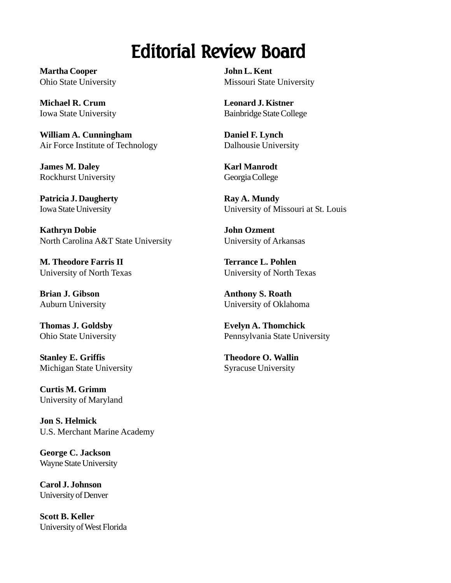# Editorial Review Board

**Martha Cooper** Ohio State University

**Michael R. Crum** Iowa State University

**William A. Cunningham** Air Force Institute of Technology

**James M. Daley** Rockhurst University

**Patricia J. Daugherty** Iowa State University

**Kathryn Dobie** North Carolina A&T State University

**M. Theodore Farris II** University of North Texas

**Brian J. Gibson** Auburn University

**Thomas J. Goldsby** Ohio State University

**Stanley E. Griffis** Michigan State University

**Curtis M. Grimm** University of Maryland

**Jon S. Helmick** U.S. Merchant Marine Academy

**George C. Jackson** Wayne State University

**Carol J. Johnson** University of Denver

**Scott B. Keller** University of West Florida **John L. Kent** Missouri State University

**Leonard J. Kistner** Bainbridge State College

**Daniel F. Lynch** Dalhousie University

**Karl Manrodt** Georgia College

**Ray A. Mundy** University of Missouri at St. Louis

**John Ozment** University of Arkansas

**Terrance L. Pohlen** University of North Texas

**Anthony S. Roath** University of Oklahoma

**Evelyn A. Thomchick** Pennsylvania State University

**Theodore O. Wallin** Syracuse University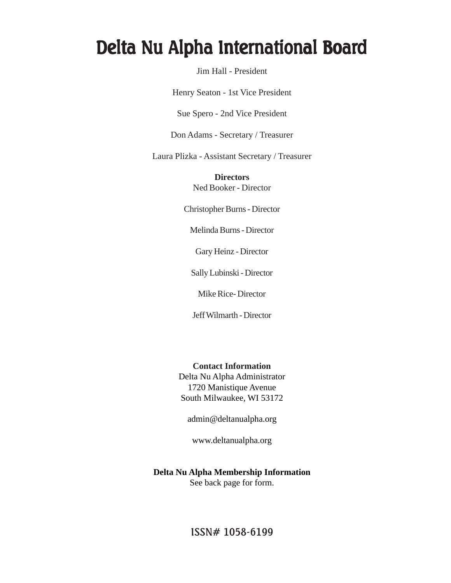## Delta Nu Alpha International Board

Jim Hall - President

Henry Seaton - 1st Vice President

Sue Spero - 2nd Vice President

Don Adams - Secretary / Treasurer

Laura Plizka - Assistant Secretary / Treasurer

**Directors** Ned Booker - Director

Christopher Burns - Director

Melinda Burns - Director

Gary Heinz - Director

Sally Lubinski - Director

Mike Rice- Director

Jeff Wilmarth - Director

**Contact Information** Delta Nu Alpha Administrator 1720 Manistique Avenue

South Milwaukee, WI 53172

admin@deltanualpha.org

www.deltanualpha.org

**Delta Nu Alpha Membership Information** See back page for form.

ISSN# 1058-6199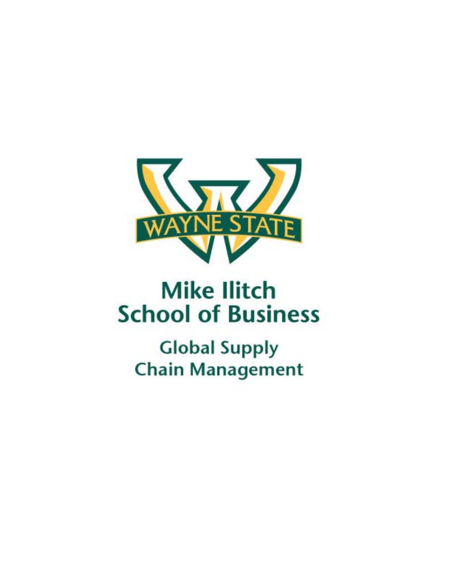

# **Mike Ilitch School of Business**

**Global Supply Chain Management**